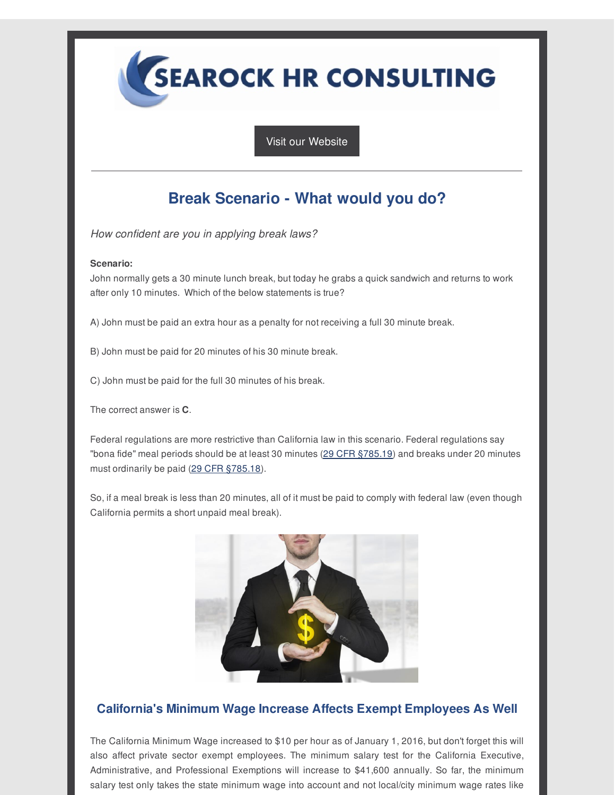**SEAROCK HR CONSULTING** 

Visit our [Website](http://r20.rs6.net/tn.jsp?f=001kdJcL8g2OL32uS9RCuyWFgwIjGnwJNA7Aa0jqzfgTfrR2Q4GTFuDNcIIDpZwF-az5nq-6KAhzYsq_IbVvG5fw97vLQIN1JoxfSnnPP1PkGASSfY5sbdc0FptxpJ-KlMUBZI79fZkh6UXz6mfzoiDeA6T7_CcBjviy7-tUjpb6uc=&c=&ch=)

## **Break Scenario - What would you do?**

*How confident are you in applying break laws?*

## **Scenario:**

John normally gets a 30 minute lunch break, but today he grabs a quick sandwich and returns to work after only 10 minutes. Which of the below statements is true?

A) John must be paid an extra hour as a penalty for not receiving a full 30 minute break.

- B) John must be paid for 20 minutes of his 30 minute break.
- C) John must be paid for the full 30 minutes of his break.

The correct answer is **C**.

Federal regulations are more restrictive than California law in this scenario. Federal regulations say "bona fide" meal periods should be at least 30 minutes (29 CFR [§785.19](http://r20.rs6.net/tn.jsp?f=001kdJcL8g2OL32uS9RCuyWFgwIjGnwJNA7Aa0jqzfgTfrR2Q4GTFuDNU4Jc2Wl6Uu-cDGui4gzQkqzw_p4imarRDz4zqVNTvAb0NOChn-WrjLbbFk7RRCU-zZ5sVmx97eqaCvtzhFOJIeuMAjVUc3c04RYIXKNjqeUerTGmpQaq0lacaPP1yWDyGx7W4GbQcEM&c=&ch=)) and breaks under 20 minutes must ordinarily be paid (29 CFR [§785.18](http://r20.rs6.net/tn.jsp?f=001kdJcL8g2OL32uS9RCuyWFgwIjGnwJNA7Aa0jqzfgTfrR2Q4GTFuDNU4Jc2Wl6Uu-1f-qJSEcQSaej4UinRjEpRc_FsjvLP21IMEcGwK8ieqKqdewkb-nsBenbwzf8otJztJ0TEapjXEUcn_EFikbLDVhJWvcEW1iLCHMMP2HIYOPJMUnPxLIuwsEOcxKDFv-&c=&ch=)).

So, if a meal break is less than 20 minutes, all of it must be paid to comply with federal law (even though California permits a short unpaid meal break).



## **California's Minimum Wage Increase Affects Exempt Employees As Well**

The California Minimum Wage increased to \$10 per hour as of January 1, 2016, but don't forget this will also affect private sector exempt employees. The minimum salary test for the California Executive, Administrative, and Professional Exemptions will increase to \$41,600 annually. So far, the minimum salary test only takes the state minimum wage into account and not local/city minimum wage rates like